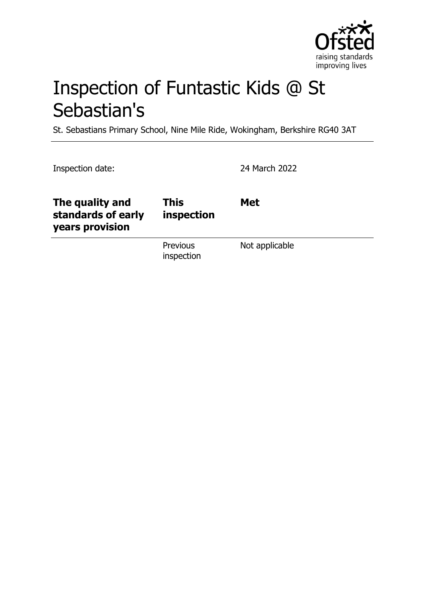

# Inspection of Funtastic Kids @ St Sebastian's

St. Sebastians Primary School, Nine Mile Ride, Wokingham, Berkshire RG40 3AT

| Inspection date:                                         |                           | 24 March 2022  |
|----------------------------------------------------------|---------------------------|----------------|
| The quality and<br>standards of early<br>years provision | <b>This</b><br>inspection | <b>Met</b>     |
|                                                          | Previous<br>inspection    | Not applicable |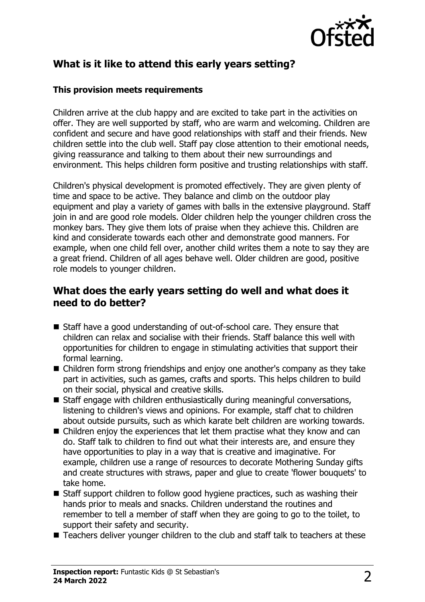

# **What is it like to attend this early years setting?**

#### **This provision meets requirements**

Children arrive at the club happy and are excited to take part in the activities on offer. They are well supported by staff, who are warm and welcoming. Children are confident and secure and have good relationships with staff and their friends. New children settle into the club well. Staff pay close attention to their emotional needs, giving reassurance and talking to them about their new surroundings and environment. This helps children form positive and trusting relationships with staff.

Children's physical development is promoted effectively. They are given plenty of time and space to be active. They balance and climb on the outdoor play equipment and play a variety of games with balls in the extensive playground. Staff join in and are good role models. Older children help the younger children cross the monkey bars. They give them lots of praise when they achieve this. Children are kind and considerate towards each other and demonstrate good manners. For example, when one child fell over, another child writes them a note to say they are a great friend. Children of all ages behave well. Older children are good, positive role models to younger children.

### **What does the early years setting do well and what does it need to do better?**

- Staff have a good understanding of out-of-school care. They ensure that children can relax and socialise with their friends. Staff balance this well with opportunities for children to engage in stimulating activities that support their formal learning.
- $\blacksquare$  Children form strong friendships and enjoy one another's company as they take part in activities, such as games, crafts and sports. This helps children to build on their social, physical and creative skills.
- $\blacksquare$  Staff engage with children enthusiastically during meaningful conversations, listening to children's views and opinions. For example, staff chat to children about outside pursuits, such as which karate belt children are working towards.
- $\blacksquare$  Children enjoy the experiences that let them practise what they know and can do. Staff talk to children to find out what their interests are, and ensure they have opportunities to play in a way that is creative and imaginative. For example, children use a range of resources to decorate Mothering Sunday gifts and create structures with straws, paper and glue to create 'flower bouquets' to take home.
- $\blacksquare$  Staff support children to follow good hygiene practices, such as washing their hands prior to meals and snacks. Children understand the routines and remember to tell a member of staff when they are going to go to the toilet, to support their safety and security.
- $\blacksquare$  Teachers deliver younger children to the club and staff talk to teachers at these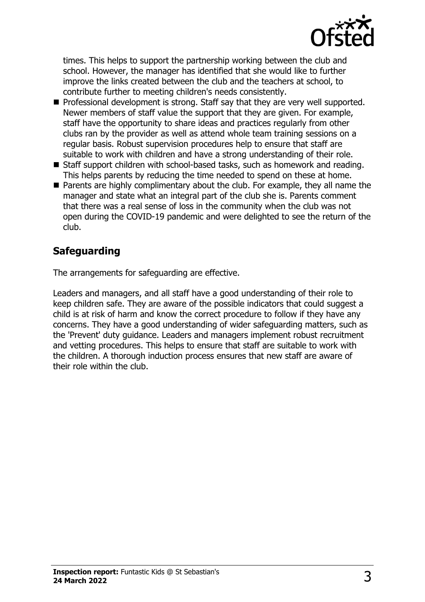

times. This helps to support the partnership working between the club and school. However, the manager has identified that she would like to further improve the links created between the club and the teachers at school, to contribute further to meeting children's needs consistently.

- Professional development is strong. Staff say that they are very well supported. Newer members of staff value the support that they are given. For example, staff have the opportunity to share ideas and practices regularly from other clubs ran by the provider as well as attend whole team training sessions on a regular basis. Robust supervision procedures help to ensure that staff are suitable to work with children and have a strong understanding of their role.
- Staff support children with school-based tasks, such as homework and reading. This helps parents by reducing the time needed to spend on these at home.
- $\blacksquare$  Parents are highly complimentary about the club. For example, they all name the manager and state what an integral part of the club she is. Parents comment that there was a real sense of loss in the community when the club was not open during the COVID-19 pandemic and were delighted to see the return of the club.

# **Safeguarding**

The arrangements for safeguarding are effective.

Leaders and managers, and all staff have a good understanding of their role to keep children safe. They are aware of the possible indicators that could suggest a child is at risk of harm and know the correct procedure to follow if they have any concerns. They have a good understanding of wider safeguarding matters, such as the 'Prevent' duty guidance. Leaders and managers implement robust recruitment and vetting procedures. This helps to ensure that staff are suitable to work with the children. A thorough induction process ensures that new staff are aware of their role within the club.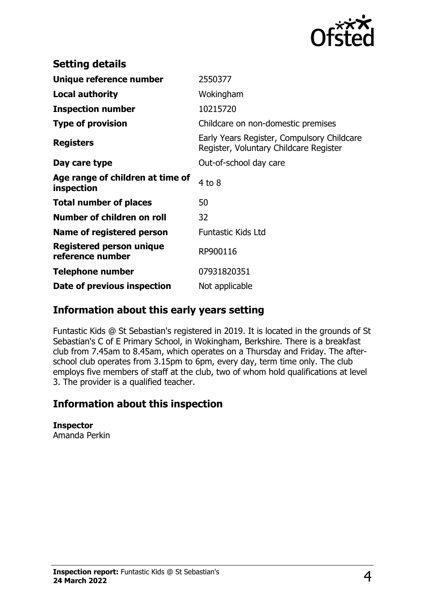

| <b>Setting details</b>                         |                                                                                      |
|------------------------------------------------|--------------------------------------------------------------------------------------|
| Unique reference number                        | 2550377                                                                              |
| <b>Local authority</b>                         | Wokingham                                                                            |
| <b>Inspection number</b>                       | 10215720                                                                             |
| <b>Type of provision</b>                       | Childcare on non-domestic premises                                                   |
| <b>Registers</b>                               | Early Years Register, Compulsory Childcare<br>Register, Voluntary Childcare Register |
| Day care type                                  | Out-of-school day care                                                               |
| Age range of children at time of<br>inspection | $4$ to $8$                                                                           |
| <b>Total number of places</b>                  | 50                                                                                   |
| Number of children on roll                     | 32                                                                                   |
| Name of registered person                      | <b>Funtastic Kids Ltd</b>                                                            |
| Registered person unique<br>reference number   | RP900116                                                                             |
| <b>Telephone number</b>                        | 07931820351                                                                          |
| Date of previous inspection                    | Not applicable                                                                       |

## **Information about this early years setting**

Funtastic Kids @ St Sebastian's registered in 2019. It is located in the grounds of St Sebastian's C of E Primary School, in Wokingham, Berkshire. There is a breakfast club from 7.45am to 8.45am, which operates on a Thursday and Friday. The afterschool club operates from 3.15pm to 6pm, every day, term time only. The club employs five members of staff at the club, two of whom hold qualifications at level 3. The provider is a qualified teacher.

## **Information about this inspection**

**Inspector** Amanda Perkin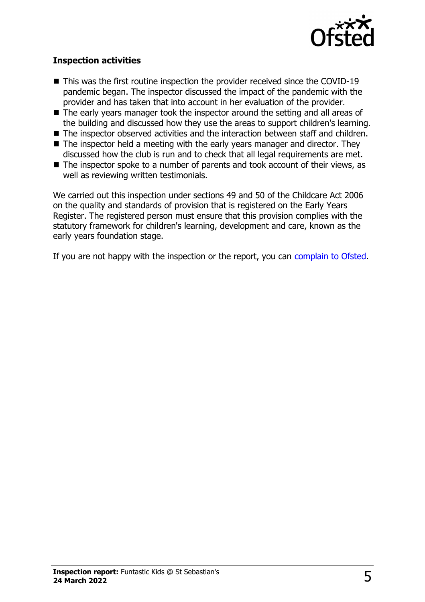

#### **Inspection activities**

- $\blacksquare$  This was the first routine inspection the provider received since the COVID-19 pandemic began. The inspector discussed the impact of the pandemic with the provider and has taken that into account in her evaluation of the provider.
- $\blacksquare$  The early years manager took the inspector around the setting and all areas of the building and discussed how they use the areas to support children's learning.
- The inspector observed activities and the interaction between staff and children.
- $\blacksquare$  The inspector held a meeting with the early years manager and director. They discussed how the club is run and to check that all legal requirements are met.
- $\blacksquare$  The inspector spoke to a number of parents and took account of their views, as well as reviewing written testimonials.

We carried out this inspection under sections 49 and 50 of the Childcare Act 2006 on the quality and standards of provision that is registered on the Early Years Register. The registered person must ensure that this provision complies with the statutory framework for children's learning, development and care, known as the early years foundation stage.

If you are not happy with the inspection or the report, you can [complain to Ofsted](http://www.gov.uk/complain-ofsted-report).